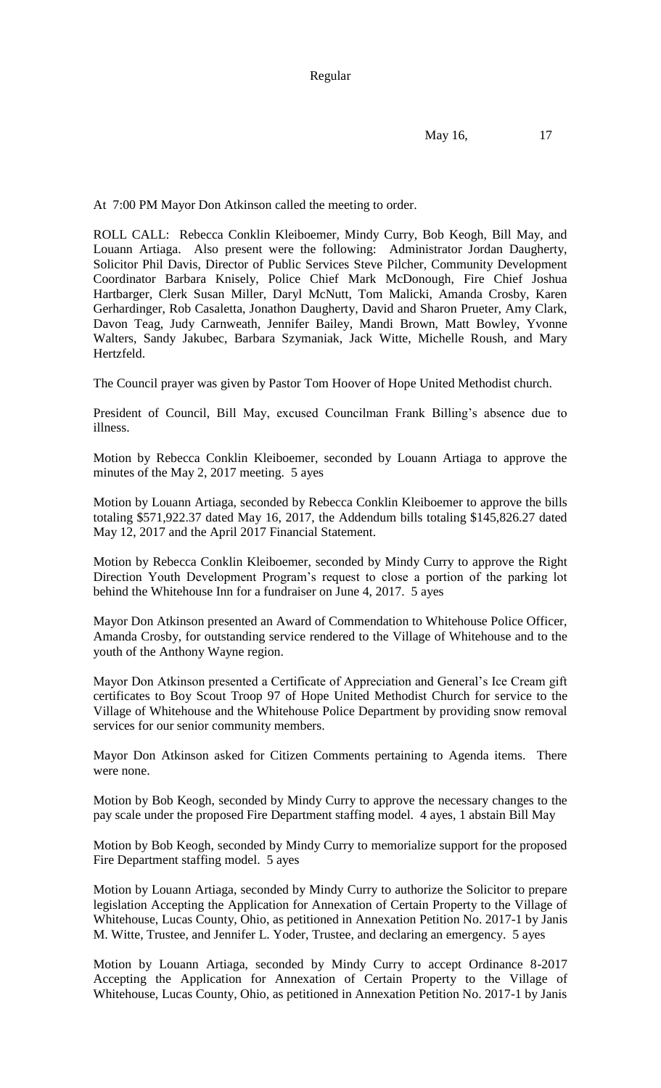Regular

May 16, 17

At 7:00 PM Mayor Don Atkinson called the meeting to order.

ROLL CALL: Rebecca Conklin Kleiboemer, Mindy Curry, Bob Keogh, Bill May, and Louann Artiaga. Also present were the following: Administrator Jordan Daugherty, Solicitor Phil Davis, Director of Public Services Steve Pilcher, Community Development Coordinator Barbara Knisely, Police Chief Mark McDonough, Fire Chief Joshua Hartbarger, Clerk Susan Miller, Daryl McNutt, Tom Malicki, Amanda Crosby, Karen Gerhardinger, Rob Casaletta, Jonathon Daugherty, David and Sharon Prueter, Amy Clark, Davon Teag, Judy Carnweath, Jennifer Bailey, Mandi Brown, Matt Bowley, Yvonne Walters, Sandy Jakubec, Barbara Szymaniak, Jack Witte, Michelle Roush, and Mary Hertzfeld.

The Council prayer was given by Pastor Tom Hoover of Hope United Methodist church.

President of Council, Bill May, excused Councilman Frank Billing's absence due to illness.

Motion by Rebecca Conklin Kleiboemer, seconded by Louann Artiaga to approve the minutes of the May 2, 2017 meeting. 5 ayes

Motion by Louann Artiaga, seconded by Rebecca Conklin Kleiboemer to approve the bills totaling \$571,922.37 dated May 16, 2017, the Addendum bills totaling \$145,826.27 dated May 12, 2017 and the April 2017 Financial Statement.

Motion by Rebecca Conklin Kleiboemer, seconded by Mindy Curry to approve the Right Direction Youth Development Program's request to close a portion of the parking lot behind the Whitehouse Inn for a fundraiser on June 4, 2017. 5 ayes

Mayor Don Atkinson presented an Award of Commendation to Whitehouse Police Officer, Amanda Crosby, for outstanding service rendered to the Village of Whitehouse and to the youth of the Anthony Wayne region.

Mayor Don Atkinson presented a Certificate of Appreciation and General's Ice Cream gift certificates to Boy Scout Troop 97 of Hope United Methodist Church for service to the Village of Whitehouse and the Whitehouse Police Department by providing snow removal services for our senior community members.

Mayor Don Atkinson asked for Citizen Comments pertaining to Agenda items. There were none.

Motion by Bob Keogh, seconded by Mindy Curry to approve the necessary changes to the pay scale under the proposed Fire Department staffing model. 4 ayes, 1 abstain Bill May

Motion by Bob Keogh, seconded by Mindy Curry to memorialize support for the proposed Fire Department staffing model. 5 ayes

Motion by Louann Artiaga, seconded by Mindy Curry to authorize the Solicitor to prepare legislation Accepting the Application for Annexation of Certain Property to the Village of Whitehouse, Lucas County, Ohio, as petitioned in Annexation Petition No. 2017-1 by Janis M. Witte, Trustee, and Jennifer L. Yoder, Trustee, and declaring an emergency. 5 ayes

Motion by Louann Artiaga, seconded by Mindy Curry to accept Ordinance 8-2017 Accepting the Application for Annexation of Certain Property to the Village of Whitehouse, Lucas County, Ohio, as petitioned in Annexation Petition No. 2017-1 by Janis